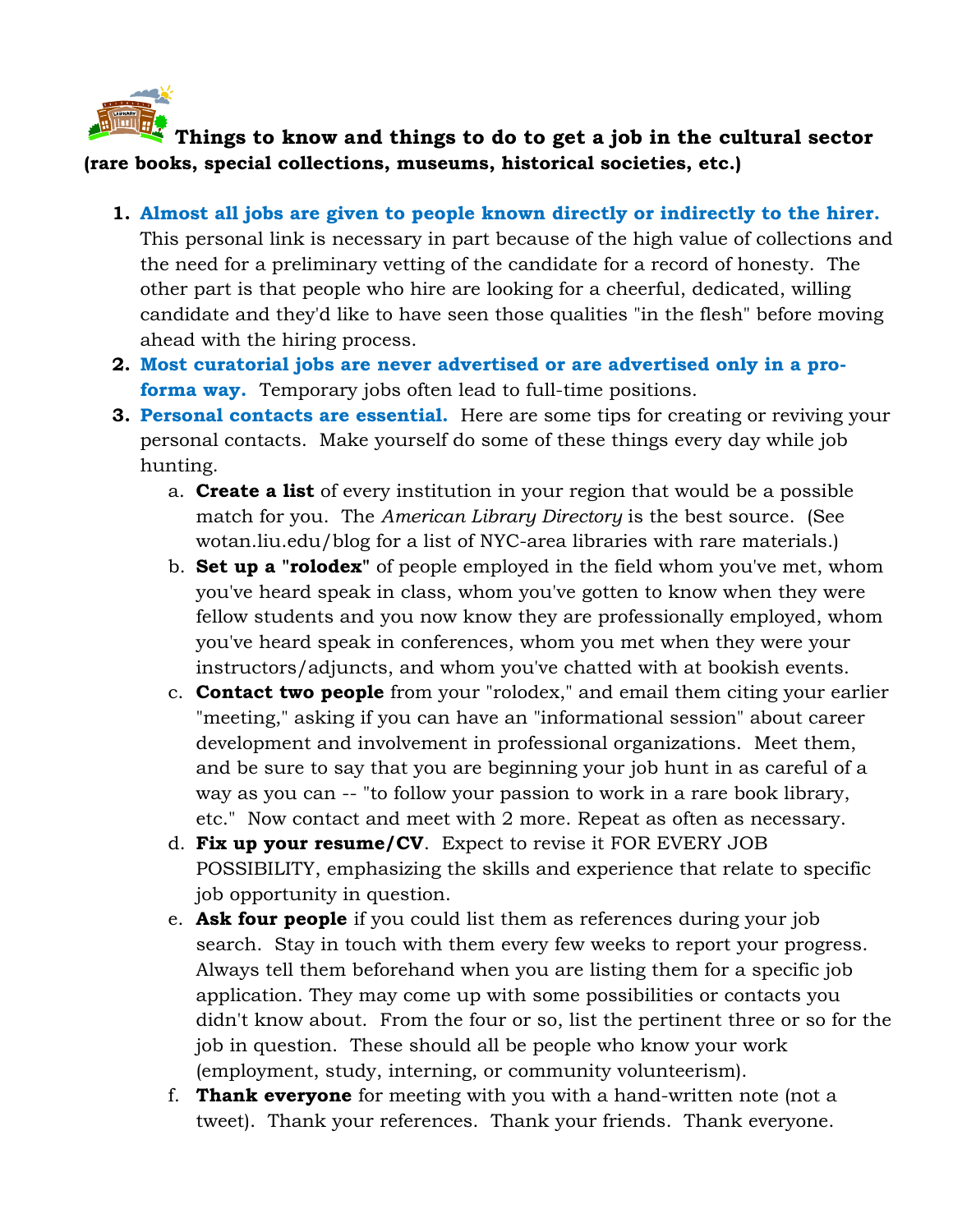

## **Things to know and things to do to get a job in the cultural sector (rare books, special collections, museums, historical societies, etc.)**

- **1. Almost all jobs are given to people known directly or indirectly to the hirer.** This personal link is necessary in part because of the high value of collections and the need for a preliminary vetting of the candidate for a record of honesty. The other part is that people who hire are looking for a cheerful, dedicated, willing candidate and they'd like to have seen those qualities "in the flesh" before moving ahead with the hiring process.
- **2. Most curatorial jobs are never advertised or are advertised only in a proforma way.** Temporary jobs often lead to full-time positions.
- **3. Personal contacts are essential.** Here are some tips for creating or reviving your personal contacts. Make yourself do some of these things every day while job hunting.
	- a. **Create a list** of every institution in your region that would be a possible match for you. The *American Library Directory* is the best source. (See wotan.liu.edu/blog for a list of NYC-area libraries with rare materials.)
	- b. **Set up a "rolodex"** of people employed in the field whom you've met, whom you've heard speak in class, whom you've gotten to know when they were fellow students and you now know they are professionally employed, whom you've heard speak in conferences, whom you met when they were your instructors/adjuncts, and whom you've chatted with at bookish events.
	- c. **Contact two people** from your "rolodex," and email them citing your earlier "meeting," asking if you can have an "informational session" about career development and involvement in professional organizations. Meet them, and be sure to say that you are beginning your job hunt in as careful of a way as you can -- "to follow your passion to work in a rare book library, etc." Now contact and meet with 2 more. Repeat as often as necessary.
	- d. **Fix up your resume/CV**. Expect to revise it FOR EVERY JOB POSSIBILITY, emphasizing the skills and experience that relate to specific job opportunity in question.
	- e. **Ask four people** if you could list them as references during your job search. Stay in touch with them every few weeks to report your progress. Always tell them beforehand when you are listing them for a specific job application. They may come up with some possibilities or contacts you didn't know about. From the four or so, list the pertinent three or so for the job in question. These should all be people who know your work (employment, study, interning, or community volunteerism).
	- f. **Thank everyone** for meeting with you with a hand-written note (not a tweet). Thank your references. Thank your friends. Thank everyone.